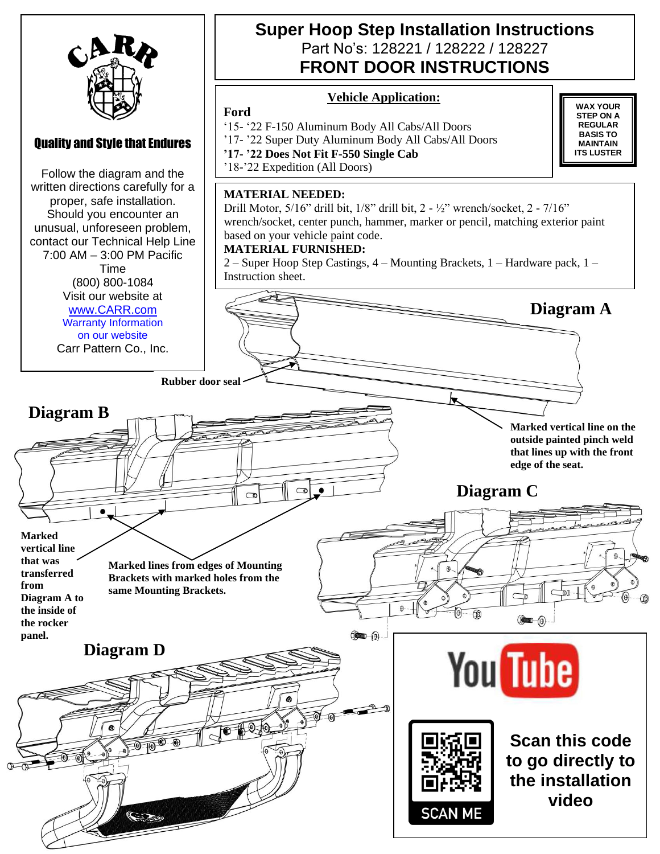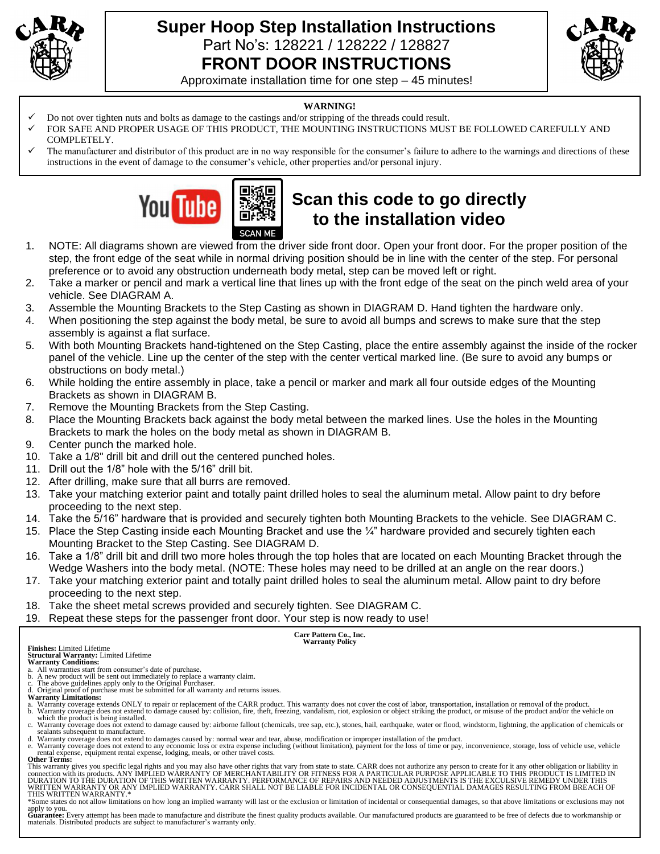

## **Super Hoop Step Installation Instructions** Part No's: 128221 / 128222 / 128827 **FRONT DOOR INSTRUCTIONS**



Approximate installation time for one step – 45 minutes!

### **WARNING!**

- ✓ Do not over tighten nuts and bolts as damage to the castings and/or stripping of the threads could result.
- FOR SAFE AND PROPER USAGE OF THIS PRODUCT, THE MOUNTING INSTRUCTIONS MUST BE FOLLOWED CAREFULLY AND COMPLETELY.
- The manufacturer and distributor of this product are in no way responsible for the consumer's failure to adhere to the warnings and directions of these instructions in the event of damage to the consumer's vehicle, other properties and/or personal injury.



# **Scan this code to go directly to the installation video**

- 1. NOTE: All diagrams shown are viewed from the driver side front door. Open your front door. For the proper position of the step, the front edge of the seat while in normal driving position should be in line with the center of the step. For personal preference or to avoid any obstruction underneath body metal, step can be moved left or right.
- 2. Take a marker or pencil and mark a vertical line that lines up with the front edge of the seat on the pinch weld area of your vehicle. See DIAGRAM A.
- 3. Assemble the Mounting Brackets to the Step Casting as shown in DIAGRAM D. Hand tighten the hardware only.
- 4. When positioning the step against the body metal, be sure to avoid all bumps and screws to make sure that the step assembly is against a flat surface.
- 5. With both Mounting Brackets hand-tightened on the Step Casting, place the entire assembly against the inside of the rocker panel of the vehicle. Line up the center of the step with the center vertical marked line. (Be sure to avoid any bumps or obstructions on body metal.)
- 6. While holding the entire assembly in place, take a pencil or marker and mark all four outside edges of the Mounting Brackets as shown in DIAGRAM B.
- 7. Remove the Mounting Brackets from the Step Casting.
- 8. Place the Mounting Brackets back against the body metal between the marked lines. Use the holes in the Mounting Brackets to mark the holes on the body metal as shown in DIAGRAM B.
- 9. Center punch the marked hole.
- 10. Take a 1/8" drill bit and drill out the centered punched holes.
- 11. Drill out the 1/8" hole with the 5/16" drill bit.
- 12. After drilling, make sure that all burrs are removed.
- 13. Take your matching exterior paint and totally paint drilled holes to seal the aluminum metal. Allow paint to dry before proceeding to the next step.
- 14. Take the 5/16" hardware that is provided and securely tighten both Mounting Brackets to the vehicle. See DIAGRAM C.
- 15. Place the Step Casting inside each Mounting Bracket and use the  $\frac{1}{4}$ " hardware provided and securely tighten each Mounting Bracket to the Step Casting. See DIAGRAM D.
- 16. Take a 1/8" drill bit and drill two more holes through the top holes that are located on each Mounting Bracket through the Wedge Washers into the body metal. (NOTE: These holes may need to be drilled at an angle on the rear doors.)
- 17. Take your matching exterior paint and totally paint drilled holes to seal the aluminum metal. Allow paint to dry before proceeding to the next step.
- 18. Take the sheet metal screws provided and securely tighten. See DIAGRAM C.
- 19. Repeat these steps for the passenger front door. Your step is now ready to use!

**Carr Pattern Co., Inc. Warranty Policy**

**Finishes:** Limited Lifetime

**Structural Warranty:** Limited Lifetime **Warranty Conditions:**

- a. All warranties start from consumer's date of purchase. b. A new product will be sent out immediately to replace a warranty claim. c. The above guidelines apply only to the Original Purchaser.
- d. Original proof of purchase must be submitted for all warranty and returns issues. **Warranty Limitations:**

- a. Warranty coverage extends ONLY to repair or replacement of the CARR product. This warranty does not cover the cost of labor, transportation, installation or removal of the product.<br>b. Warranty coverage does not extend t
- which the product is being installed.<br>c. Warranty coverage does not extend to damage caused by: airborne fallout (chemicals, tree sap, etc.), stones, hail, earthquake, water or flood, windstorm, lightning, the application sealants subsequent to manufacture.
- d. Warranty coverage does not extend to damages caused by: normal wear and tear, abuse, modification or improper installation of the product.<br>e. Warranty coverage does not extend to any economic loss or extra expense inclu

rental expense, equipment rental expense, lodging, meals, or other travel costs. **Other Terms:**

This warranty gives you specific legal rights and you may also have other rights that vary from state to state. CARR does not authorize any person to create for it any other obligation or liability in<br>connection with its p WRITTEN WARRANTY OR ANY IMPLIED WARRANTY. CARR SHALL NOT BE LIABLE FOR INCIDENTAL OR CONSEQUENTIAL DAMAGES RESULTING FROM BREACH OF<br>THIS WRITTEN WARRANTY.\*

\*Some states do not allow limitations on how long an implied warranty will last or the exclusion or limitation of incidental or consequential damages, so that above limitations or exclusions may not

apply to you.<br>Guarantee: Every attempt has been made to manufacture and distribute the finest quality products available. Our manufactured products are guaranteed to be free of defects due to workmanship or materials. Distributed products are subject to manufacturer's warranty only.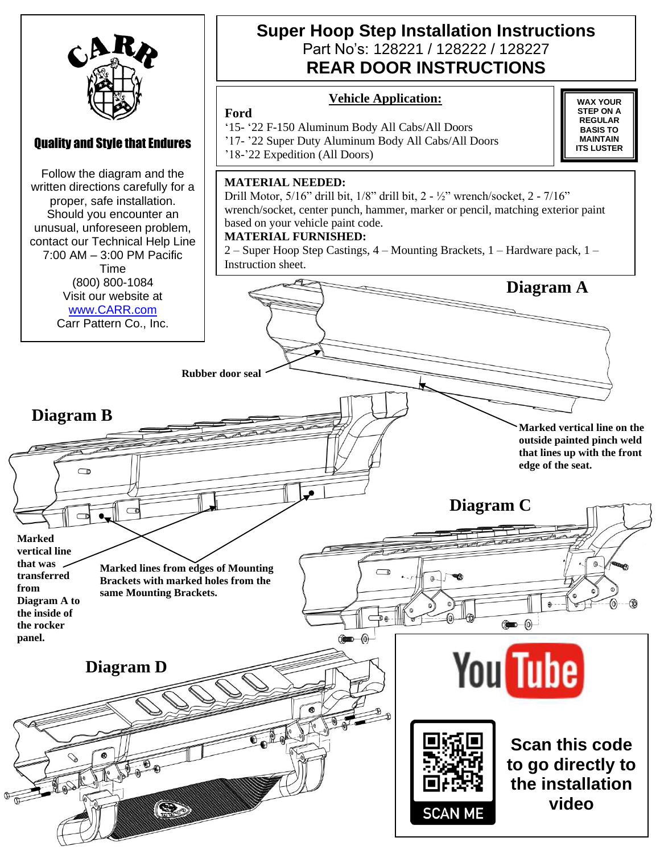